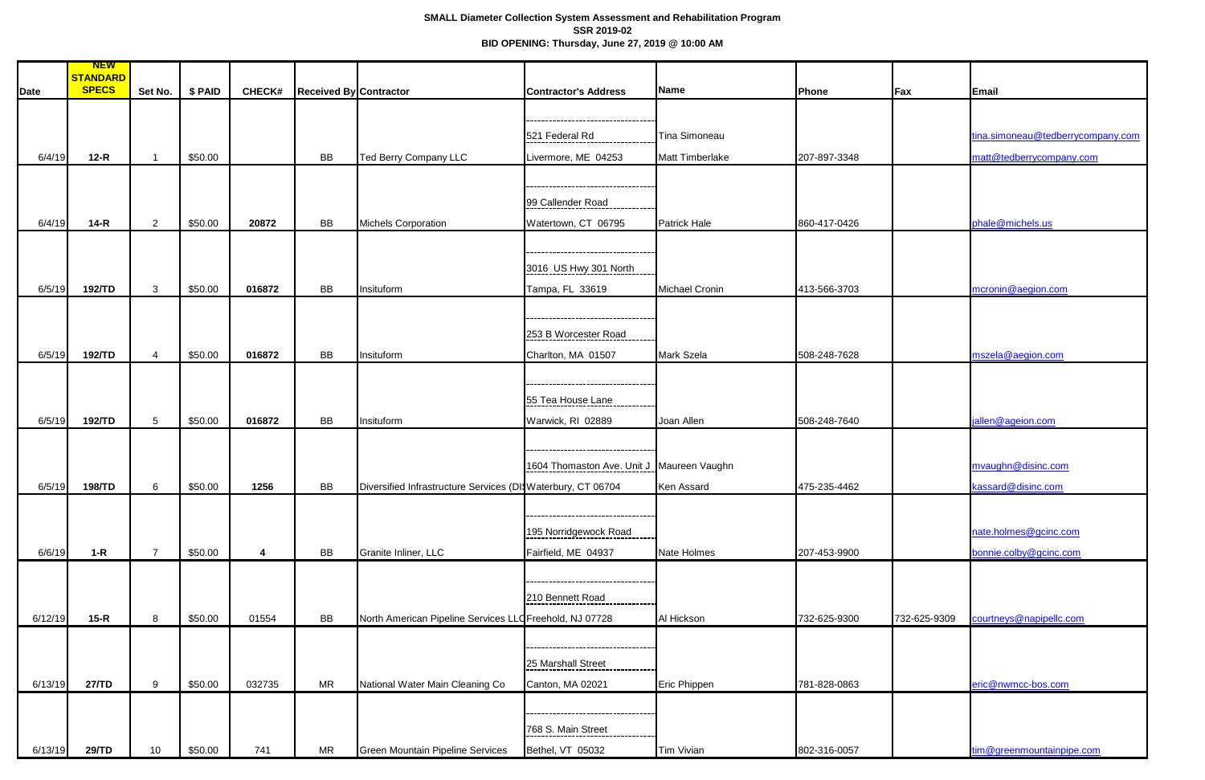## **SMALL Diameter Collection System Assessment and Rehabilitation Program SSR 2019-02 BID OPENING: Thursday, June 27, 2019 @ 10:00 AM**

|         | <b>NEW</b>      |                 |          |               |                               |                                                             |                                           |                        |              |              |                                   |
|---------|-----------------|-----------------|----------|---------------|-------------------------------|-------------------------------------------------------------|-------------------------------------------|------------------------|--------------|--------------|-----------------------------------|
|         | <b>STANDARD</b> |                 |          |               |                               |                                                             |                                           |                        |              |              |                                   |
| Date    | <b>SPECS</b>    | Set No.         | $$$ PAID | <b>CHECK#</b> | <b>Received By Contractor</b> |                                                             | <b>Contractor's Address</b>               | <b>Name</b>            | Phone        | Fax          | Email                             |
|         |                 |                 |          |               |                               |                                                             |                                           |                        |              |              |                                   |
|         |                 |                 |          |               |                               |                                                             |                                           |                        |              |              |                                   |
|         |                 |                 |          |               |                               |                                                             | 521 Federal Rd                            | <b>Tina Simoneau</b>   |              |              | tina.simoneau@tedberrycompany.com |
|         |                 |                 |          |               |                               |                                                             |                                           |                        |              |              |                                   |
| 6/4/19  | $12-R$          | $\overline{1}$  | \$50.00  |               | <b>BB</b>                     | <b>Ted Berry Company LLC</b>                                | Livermore, ME 04253                       | <b>Matt Timberlake</b> | 207-897-3348 |              | matt@tedberrycompany.com          |
|         |                 |                 |          |               |                               |                                                             |                                           |                        |              |              |                                   |
|         |                 |                 |          |               |                               |                                                             |                                           |                        |              |              |                                   |
|         |                 |                 |          |               |                               |                                                             | 99 Callender Road                         |                        |              |              |                                   |
| 6/4/19  | $14-R$          | $\overline{2}$  | \$50.00  | 20872         | <b>BB</b>                     | <b>Michels Corporation</b>                                  | Watertown, CT 06795                       | <b>Patrick Hale</b>    | 860-417-0426 |              | phale@michels.us                  |
|         |                 |                 |          |               |                               |                                                             |                                           |                        |              |              |                                   |
|         |                 |                 |          |               |                               |                                                             |                                           |                        |              |              |                                   |
|         |                 |                 |          |               |                               |                                                             | 3016 US Hwy 301 North                     |                        |              |              |                                   |
|         |                 |                 |          |               |                               |                                                             |                                           |                        |              |              |                                   |
| 6/5/19  | 192/TD          | $\mathbf{3}$    | \$50.00  | 016872        | BB                            | Insituform                                                  | Tampa, FL 33619                           | <b>Michael Cronin</b>  | 413-566-3703 |              | mcronin@aegion.com                |
|         |                 |                 |          |               |                               |                                                             |                                           |                        |              |              |                                   |
|         |                 |                 |          |               |                               |                                                             |                                           |                        |              |              |                                   |
|         |                 |                 |          |               |                               |                                                             | 253 B Worcester Road                      |                        |              |              |                                   |
| 6/5/19  | 192/TD          | $\overline{4}$  | \$50.00  | 016872        | <b>BB</b>                     | Insituform                                                  | Charlton, MA 01507                        | Mark Szela             | 508-248-7628 |              | mszela@aegion.com                 |
|         |                 |                 |          |               |                               |                                                             |                                           |                        |              |              |                                   |
|         |                 |                 |          |               |                               |                                                             |                                           |                        |              |              |                                   |
|         |                 |                 |          |               |                               |                                                             | 55 Tea House Lane                         |                        |              |              |                                   |
|         |                 |                 |          |               |                               |                                                             |                                           |                        |              |              |                                   |
| 6/5/19  | 192/TD          | $5\phantom{.0}$ | \$50.00  | 016872        | <b>BB</b>                     | Insituform                                                  | Warwick, RI 02889                         | Joan Allen             | 508-248-7640 |              | jallen@ageion.com                 |
|         |                 |                 |          |               |                               |                                                             |                                           |                        |              |              |                                   |
|         |                 |                 |          |               |                               |                                                             |                                           |                        |              |              |                                   |
|         |                 |                 |          |               |                               |                                                             | 1604 Thomaston Ave. Unit J Maureen Vaughn |                        |              |              | mvaughn@disinc.com                |
| 6/5/19  | 198/TD          | $6\phantom{1}$  | \$50.00  | 1256          | BB                            | Diversified Infrastructure Services (DI Waterbury, CT 06704 |                                           | Ken Assard             | 475-235-4462 |              | kassard@disinc.com                |
|         |                 |                 |          |               |                               |                                                             |                                           |                        |              |              |                                   |
|         |                 |                 |          |               |                               |                                                             |                                           |                        |              |              |                                   |
|         |                 |                 |          |               |                               |                                                             |                                           |                        |              |              |                                   |
|         |                 |                 |          |               |                               |                                                             | 195 Norridgewock Road                     |                        |              |              | nate.holmes@gcinc.com             |
| 6/6/19  | $1-R$           | $\overline{7}$  | \$50.00  | 4             | <b>BB</b>                     | Granite Inliner, LLC                                        | Fairfield, ME 04937                       | Nate Holmes            | 207-453-9900 |              | bonnie.colby@gcinc.com            |
|         |                 |                 |          |               |                               |                                                             |                                           |                        |              |              |                                   |
|         |                 |                 |          |               |                               |                                                             |                                           |                        |              |              |                                   |
|         |                 |                 |          |               |                               |                                                             | 210 Bennett Road                          |                        |              |              |                                   |
|         |                 |                 |          |               |                               |                                                             |                                           |                        |              |              |                                   |
| 6/12/19 | $15-R$          | 8               | \$50.00  | 01554         | <b>BB</b>                     | North American Pipeline Services LLO Freehold, NJ 07728     |                                           | Al Hickson             | 732-625-9300 | 732-625-9309 | courtneys@napipellc.com           |
|         |                 |                 |          |               |                               |                                                             |                                           |                        |              |              |                                   |
|         |                 |                 |          |               |                               |                                                             |                                           |                        |              |              |                                   |
|         |                 |                 |          |               |                               |                                                             | 25 Marshall Street                        |                        |              |              |                                   |
| 6/13/19 | 27/TD           | 9               | \$50.00  | 032735        | <b>MR</b>                     | National Water Main Cleaning Co                             | Canton, MA 02021                          | Eric Phippen           | 781-828-0863 |              | eric@nwmcc-bos.com                |
|         |                 |                 |          |               |                               |                                                             |                                           |                        |              |              |                                   |
|         |                 |                 |          |               |                               |                                                             |                                           |                        |              |              |                                   |
|         |                 |                 |          |               |                               |                                                             | 768 S. Main Street                        |                        |              |              |                                   |
|         |                 |                 |          |               |                               |                                                             |                                           |                        |              |              |                                   |
| 6/13/19 | 29/TD           | 10              | \$50.00  | 741           | <b>MR</b>                     | <b>Green Mountain Pipeline Services</b>                     | Bethel, VT 05032                          | Tim Vivian             | 802-316-0057 |              | tim@greenmountainpipe.com         |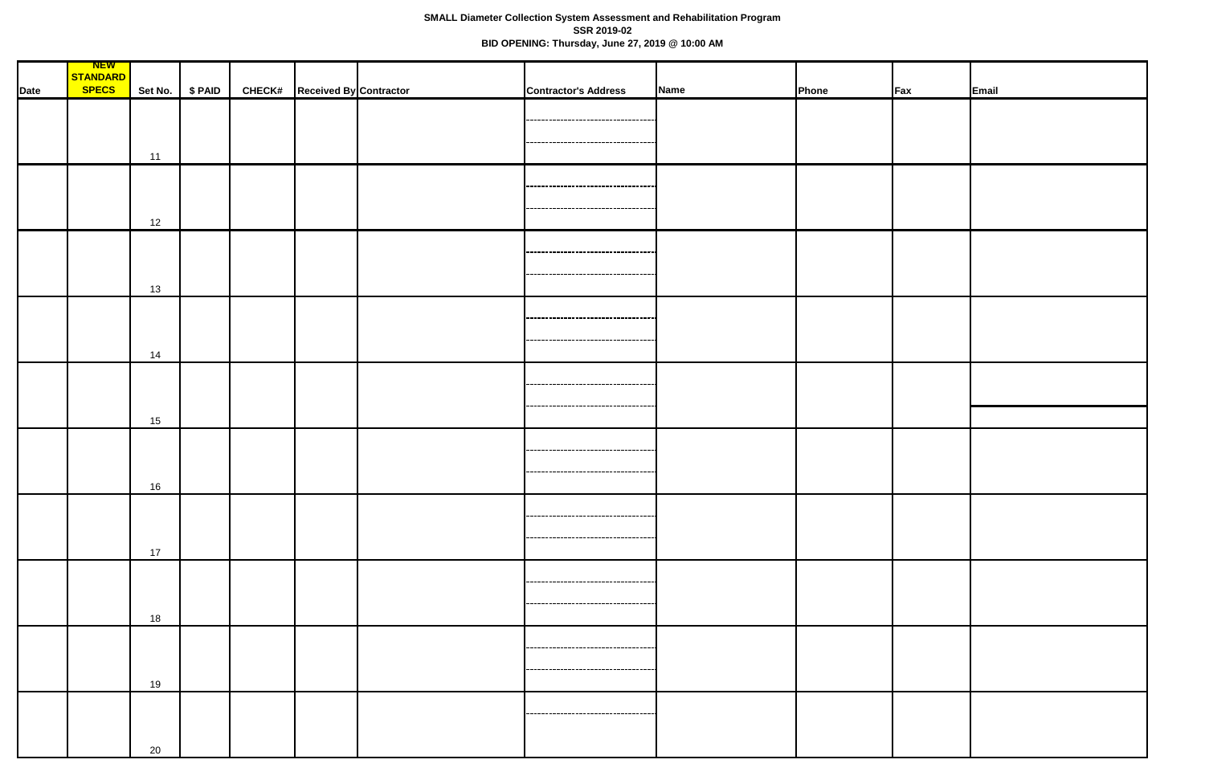## **SMALL Diameter Collection System Assessment and Rehabilitation Program SSR 2019-02 BID OPENING: Thursday, June 27, 2019 @ 10:00 AM**

|             | <u>NEW</u>               |    |                 |                                      |                                       |      |              |                 |       |
|-------------|--------------------------|----|-----------------|--------------------------------------|---------------------------------------|------|--------------|-----------------|-------|
|             | STANDARD<br><b>SPECS</b> |    | Set No. \$ PAID | <b>CHECK#</b> Received By Contractor | <b>Contractor's Address</b>           | Name | <b>Phone</b> | $\mathsf{F}$ ax | Email |
| <b>Date</b> |                          |    |                 |                                      |                                       |      |              |                 |       |
|             |                          |    |                 |                                      | ----------------------------------    |      |              |                 |       |
|             |                          |    |                 |                                      |                                       |      |              |                 |       |
|             |                          | 11 |                 |                                      | ----------------------------------    |      |              |                 |       |
|             |                          |    |                 |                                      |                                       |      |              |                 |       |
|             |                          |    |                 |                                      |                                       |      |              |                 |       |
|             |                          |    |                 |                                      |                                       |      |              |                 |       |
|             |                          | 12 |                 |                                      |                                       |      |              |                 |       |
|             |                          |    |                 |                                      |                                       |      |              |                 |       |
|             |                          |    |                 |                                      | -----------------------------------   |      |              |                 |       |
|             |                          |    |                 |                                      | ----------------------------------    |      |              |                 |       |
|             |                          | 13 |                 |                                      |                                       |      |              |                 |       |
|             |                          |    |                 |                                      |                                       |      |              |                 |       |
|             |                          |    |                 |                                      | ,,,,,,,,,,,,,,,,,,,,,,,,,,,,,,,,,,,   |      |              |                 |       |
|             |                          |    |                 |                                      | -----------------------------------   |      |              |                 |       |
|             |                          | 14 |                 |                                      |                                       |      |              |                 |       |
|             |                          |    |                 |                                      |                                       |      |              |                 |       |
|             |                          |    |                 |                                      |                                       |      |              |                 |       |
|             |                          |    |                 |                                      | ----------------------                |      |              |                 |       |
|             |                          | 15 |                 |                                      |                                       |      |              |                 |       |
|             |                          |    |                 |                                      |                                       |      |              |                 |       |
|             |                          |    |                 |                                      | --------------------------------      |      |              |                 |       |
|             |                          |    |                 |                                      | ------------------------------------- |      |              |                 |       |
|             |                          | 16 |                 |                                      |                                       |      |              |                 |       |
|             |                          |    |                 |                                      |                                       |      |              |                 |       |
|             |                          |    |                 |                                      |                                       |      |              |                 |       |
|             |                          |    |                 |                                      | -----------------------------------   |      |              |                 |       |
|             |                          | 17 |                 |                                      |                                       |      |              |                 |       |
|             |                          |    |                 |                                      | -----------------------------------   |      |              |                 |       |
|             |                          |    |                 |                                      |                                       |      |              |                 |       |
|             |                          |    |                 |                                      | -----------------------------------   |      |              |                 |       |
|             |                          | 18 |                 |                                      |                                       |      |              |                 |       |
|             |                          |    |                 |                                      | ----------------------------------    |      |              |                 |       |
|             |                          |    |                 |                                      |                                       |      |              |                 |       |
|             |                          | 19 |                 |                                      | ------------------------------------  |      |              |                 |       |
|             |                          |    |                 |                                      |                                       |      |              |                 |       |
|             |                          |    |                 |                                      |                                       |      |              |                 |       |
|             |                          |    |                 |                                      |                                       |      |              |                 |       |
|             |                          | 20 |                 |                                      |                                       |      |              |                 |       |